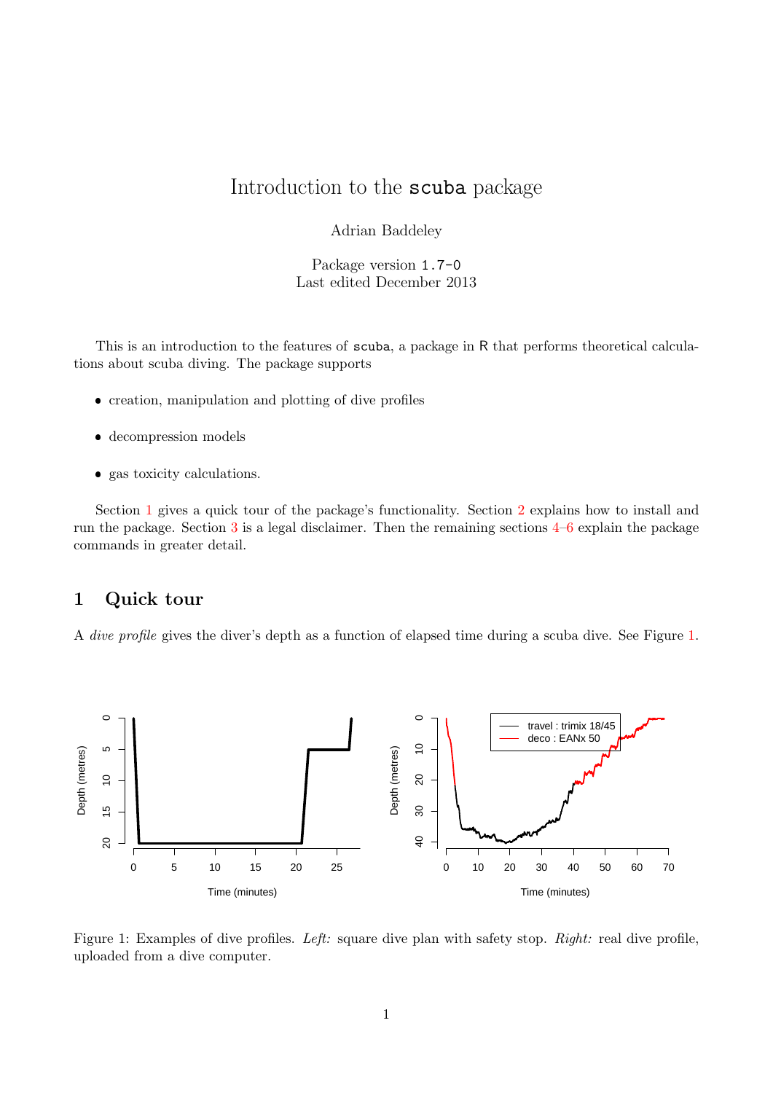# Introduction to the scuba package

Adrian Baddeley

Package version 1.7-0 Last edited December 2013

This is an introduction to the features of scuba, a package in R that performs theoretical calculations about scuba diving. The package supports

- creation, manipulation and plotting of dive profiles
- decompression models
- gas toxicity calculations.

Section [1](#page-0-0) gives a quick tour of the package's functionality. Section [2](#page-4-0) explains how to install and run the package. Section [3](#page-5-0) is a legal disclaimer. Then the remaining sections [4–](#page-5-1)[6](#page-19-0) explain the package commands in greater detail.

## <span id="page-0-0"></span>1 Quick tour

A dive profile gives the diver's depth as a function of elapsed time during a scuba dive. See Figure [1.](#page-0-1)



<span id="page-0-1"></span>Figure 1: Examples of dive profiles. Left: square dive plan with safety stop. Right: real dive profile, uploaded from a dive computer.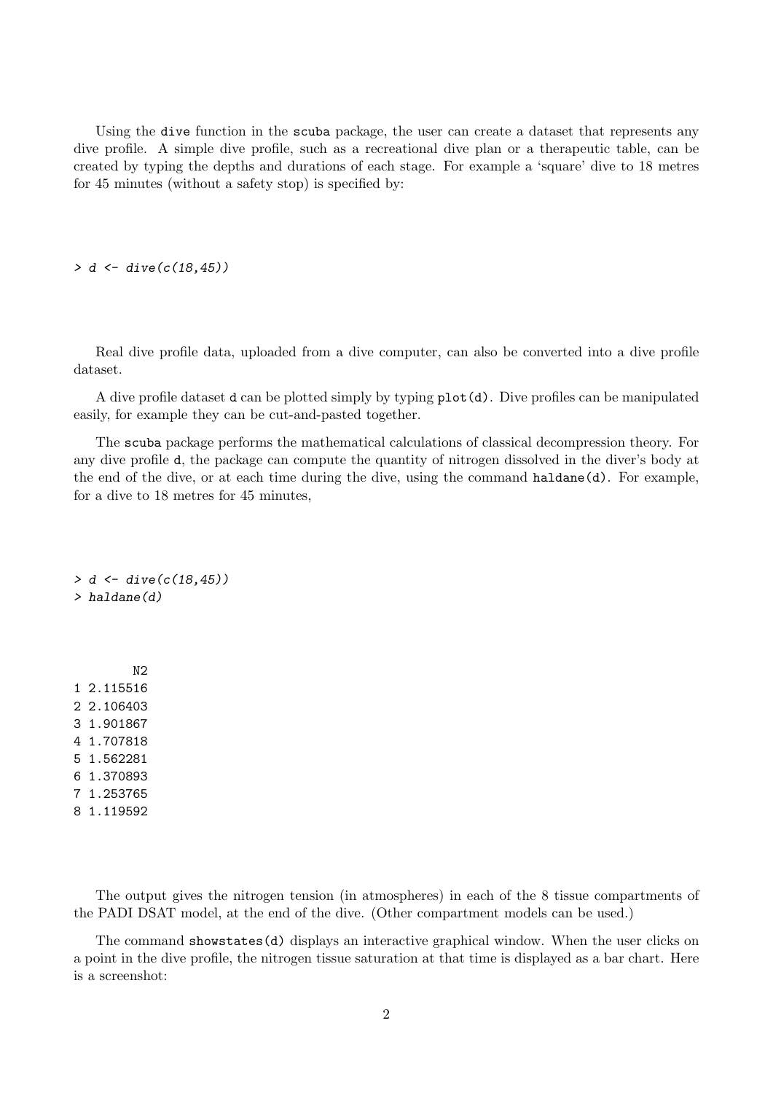Using the dive function in the scuba package, the user can create a dataset that represents any dive profile. A simple dive profile, such as a recreational dive plan or a therapeutic table, can be created by typing the depths and durations of each stage. For example a 'square' dive to 18 metres for 45 minutes (without a safety stop) is specified by:

 $> d \leq$  dive( $c(18, 45)$ )

Real dive profile data, uploaded from a dive computer, can also be converted into a dive profile dataset.

A dive profile dataset d can be plotted simply by typing plot(d). Dive profiles can be manipulated easily, for example they can be cut-and-pasted together.

The scuba package performs the mathematical calculations of classical decompression theory. For any dive profile d, the package can compute the quantity of nitrogen dissolved in the diver's body at the end of the dive, or at each time during the dive, using the command haldane(d). For example, for a dive to 18 metres for 45 minutes,

 $> d \leq$  dive( $c(18, 45)$ ) > haldane(d)

N2 1 2.115516 2 2.106403 3 1.901867 4 1.707818 5 1.562281 6 1.370893 7 1.253765 8 1.119592

The output gives the nitrogen tension (in atmospheres) in each of the 8 tissue compartments of the PADI DSAT model, at the end of the dive. (Other compartment models can be used.)

The command showstates(d) displays an interactive graphical window. When the user clicks on a point in the dive profile, the nitrogen tissue saturation at that time is displayed as a bar chart. Here is a screenshot: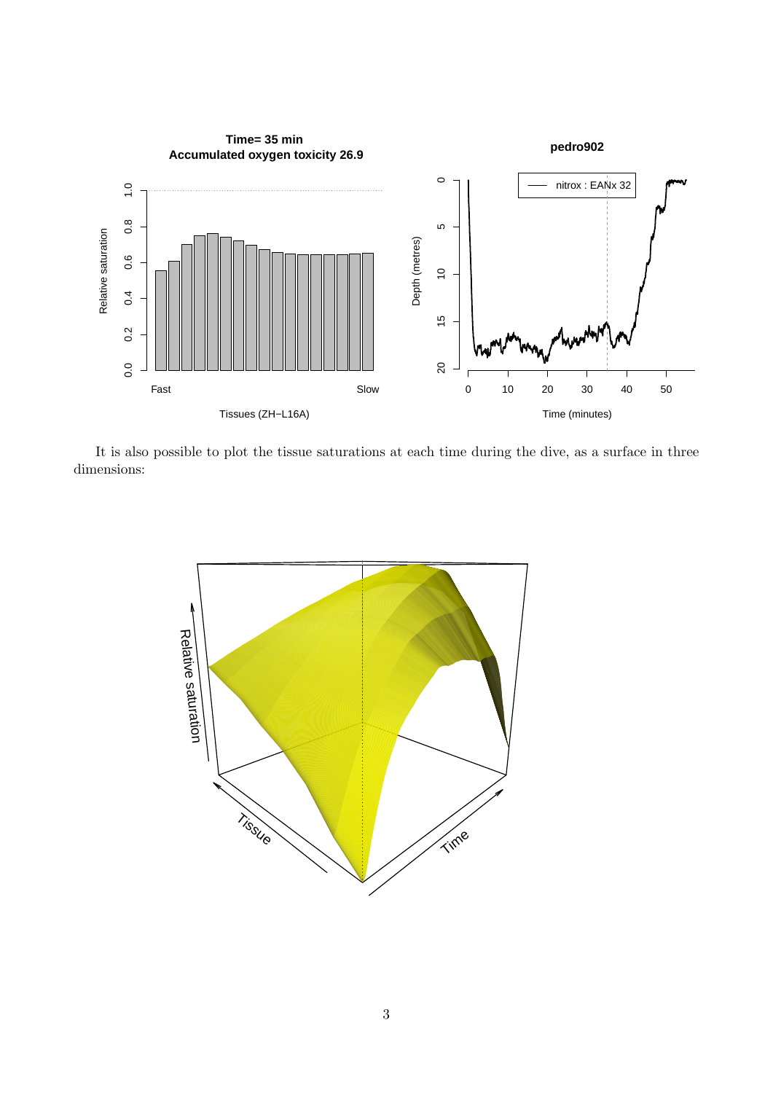

It is also possible to plot the tissue saturations at each time during the dive, as a surface in three dimensions:

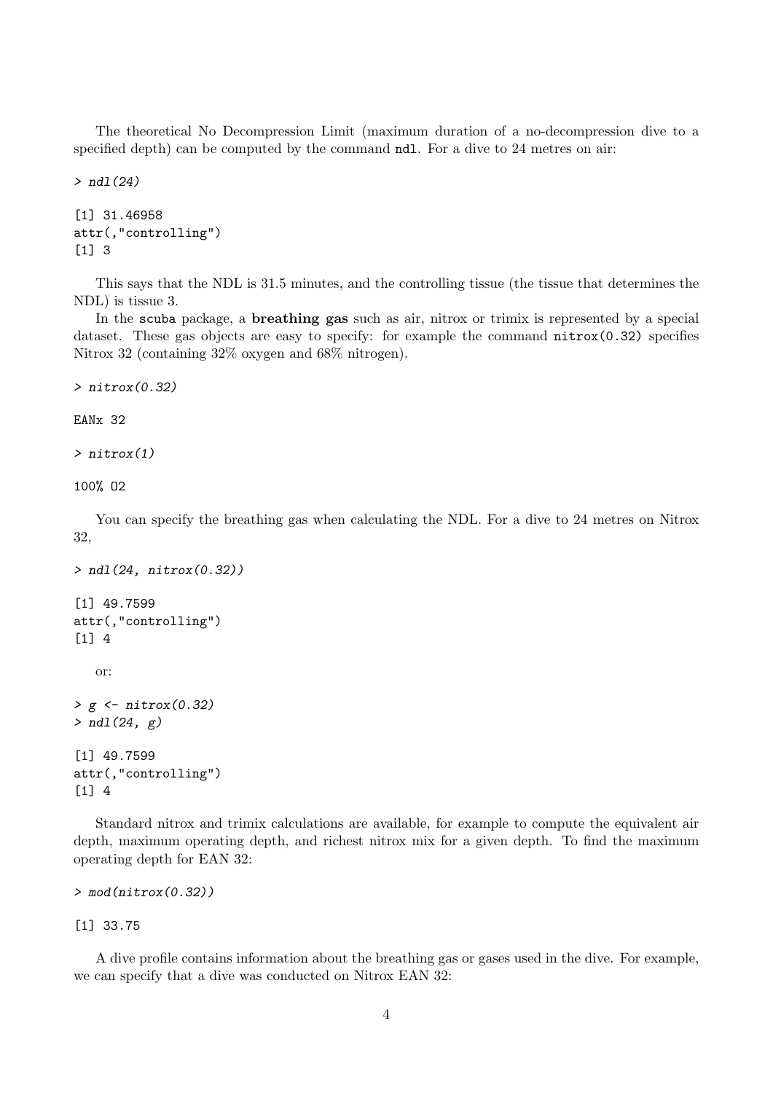The theoretical No Decompression Limit (maximum duration of a no-decompression dive to a specified depth) can be computed by the command ndl. For a dive to 24 metres on air:

> ndl(24)

```
[1] 31.46958
attr(,"controlling")
[1] 3
```
This says that the NDL is 31.5 minutes, and the controlling tissue (the tissue that determines the NDL) is tissue 3.

In the scuba package, a breathing gas such as air, nitrox or trimix is represented by a special dataset. These gas objects are easy to specify: for example the command  $nitrox(0.32)$  specifies Nitrox 32 (containing 32% oxygen and 68% nitrogen).

> nitrox(0.32)

EANx 32

```
> nitrox(1)
```
100% O2

You can specify the breathing gas when calculating the NDL. For a dive to 24 metres on Nitrox 32,

```
> ndl(24, nitrox(0.32))
[1] 49.7599
attr(,"controlling")
[1] 4
   or:
> g <- nitrox(0.32)
> ndl(24, g)[1] 49.7599
attr(,"controlling")
[1] 4
```
Standard nitrox and trimix calculations are available, for example to compute the equivalent air depth, maximum operating depth, and richest nitrox mix for a given depth. To find the maximum operating depth for EAN 32:

```
> mod(nitrox(0.32))
```
[1] 33.75

A dive profile contains information about the breathing gas or gases used in the dive. For example, we can specify that a dive was conducted on Nitrox EAN 32: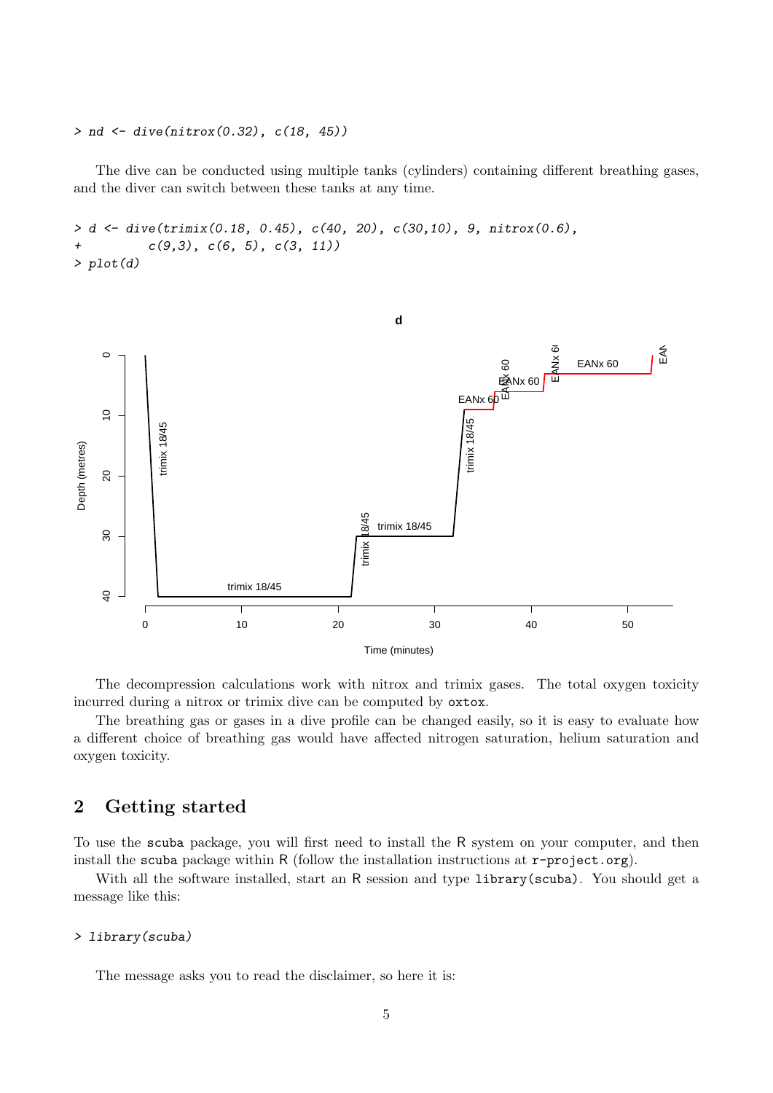#### $> nd \leq$  dive(nitrox(0.32),  $c(18, 45)$ )

The dive can be conducted using multiple tanks (cylinders) containing different breathing gases, and the diver can switch between these tanks at any time.

```
> d <- dive(trimix(0.18, 0.45), c(40, 20), c(30,10), 9, nitrox(0.6),
+ c(9,3), c(6, 5), c(3, 11)> plot(d)
```


The decompression calculations work with nitrox and trimix gases. The total oxygen toxicity incurred during a nitrox or trimix dive can be computed by oxtox.

The breathing gas or gases in a dive profile can be changed easily, so it is easy to evaluate how a different choice of breathing gas would have affected nitrogen saturation, helium saturation and oxygen toxicity.

## <span id="page-4-0"></span>2 Getting started

To use the scuba package, you will first need to install the R system on your computer, and then install the scuba package within R (follow the installation instructions at  $r$ -project.org).

With all the software installed, start an R session and type library(scuba). You should get a message like this:

#### > library(scuba)

The message asks you to read the disclaimer, so here it is: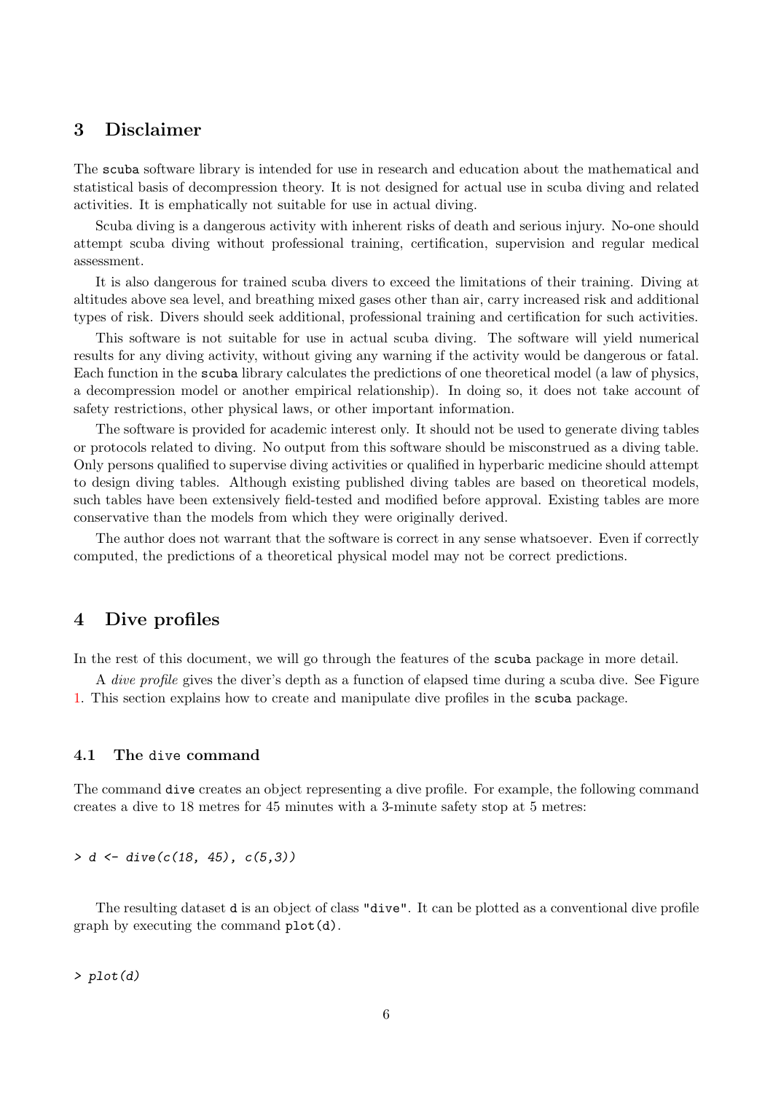## <span id="page-5-0"></span>3 Disclaimer

The scuba software library is intended for use in research and education about the mathematical and statistical basis of decompression theory. It is not designed for actual use in scuba diving and related activities. It is emphatically not suitable for use in actual diving.

Scuba diving is a dangerous activity with inherent risks of death and serious injury. No-one should attempt scuba diving without professional training, certification, supervision and regular medical assessment.

It is also dangerous for trained scuba divers to exceed the limitations of their training. Diving at altitudes above sea level, and breathing mixed gases other than air, carry increased risk and additional types of risk. Divers should seek additional, professional training and certification for such activities.

This software is not suitable for use in actual scuba diving. The software will yield numerical results for any diving activity, without giving any warning if the activity would be dangerous or fatal. Each function in the scuba library calculates the predictions of one theoretical model (a law of physics, a decompression model or another empirical relationship). In doing so, it does not take account of safety restrictions, other physical laws, or other important information.

The software is provided for academic interest only. It should not be used to generate diving tables or protocols related to diving. No output from this software should be misconstrued as a diving table. Only persons qualified to supervise diving activities or qualified in hyperbaric medicine should attempt to design diving tables. Although existing published diving tables are based on theoretical models, such tables have been extensively field-tested and modified before approval. Existing tables are more conservative than the models from which they were originally derived.

The author does not warrant that the software is correct in any sense whatsoever. Even if correctly computed, the predictions of a theoretical physical model may not be correct predictions.

### <span id="page-5-1"></span>4 Dive profiles

In the rest of this document, we will go through the features of the scuba package in more detail.

A dive profile gives the diver's depth as a function of elapsed time during a scuba dive. See Figure [1.](#page-0-1) This section explains how to create and manipulate dive profiles in the scuba package.

### 4.1 The dive command

The command dive creates an object representing a dive profile. For example, the following command creates a dive to 18 metres for 45 minutes with a 3-minute safety stop at 5 metres:

 $> d \le$  dive(c(18, 45), c(5,3))

The resulting dataset d is an object of class "dive". It can be plotted as a conventional dive profile graph by executing the command plot(d).

> plot(d)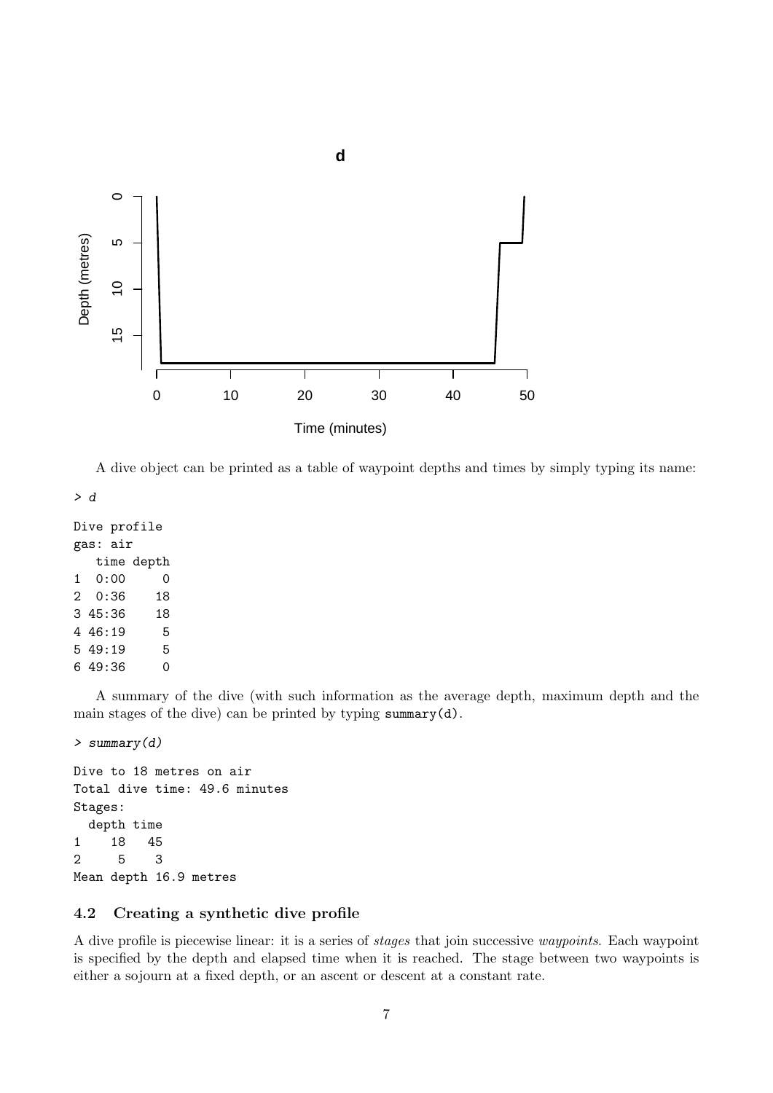

A dive object can be printed as a table of waypoint depths and times by simply typing its name:

> d

```
Dive profile
gas: air
  time depth
1 0:00 0
2 0:36 18
3 45:36 18
4 46:19 5
5 49:19 5
6 49:36 0
```
A summary of the dive (with such information as the average depth, maximum depth and the main stages of the dive) can be printed by typing summary(d).

> summary(d)

```
Dive to 18 metres on air
Total dive time: 49.6 minutes
Stages:
 depth time
1 18 45
2 5 3
Mean depth 16.9 metres
```
### 4.2 Creating a synthetic dive profile

A dive profile is piecewise linear: it is a series of stages that join successive waypoints. Each waypoint is specified by the depth and elapsed time when it is reached. The stage between two waypoints is either a sojourn at a fixed depth, or an ascent or descent at a constant rate.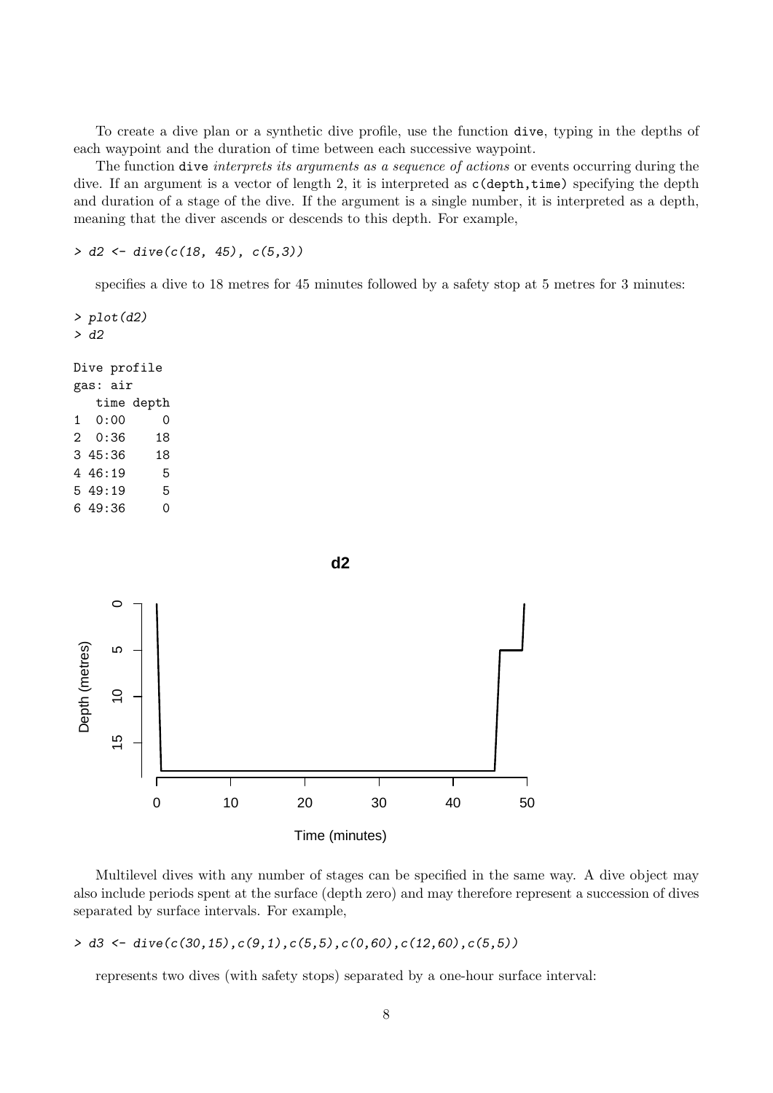To create a dive plan or a synthetic dive profile, use the function dive, typing in the depths of each waypoint and the duration of time between each successive waypoint.

The function dive *interprets its arguments as a sequence of actions* or events occurring during the dive. If an argument is a vector of length 2, it is interpreted as  $c$  (depth, time) specifying the depth and duration of a stage of the dive. If the argument is a single number, it is interpreted as a depth, meaning that the diver ascends or descends to this depth. For example,

 $> d2 \leq dive(c(18, 45), c(5,3))$ 

specifies a dive to 18 metres for 45 minutes followed by a safety stop at 5 metres for 3 minutes:

 $> plot(d2)$ > d2 Dive profile gas: air time depth



Multilevel dives with any number of stages can be specified in the same way. A dive object may also include periods spent at the surface (depth zero) and may therefore represent a succession of dives separated by surface intervals. For example,

### $> d3 \leftarrow \text{dive}(c(30, 15), c(9, 1), c(5, 5), c(0, 60), c(12, 60), c(5, 5))$

represents two dives (with safety stops) separated by a one-hour surface interval: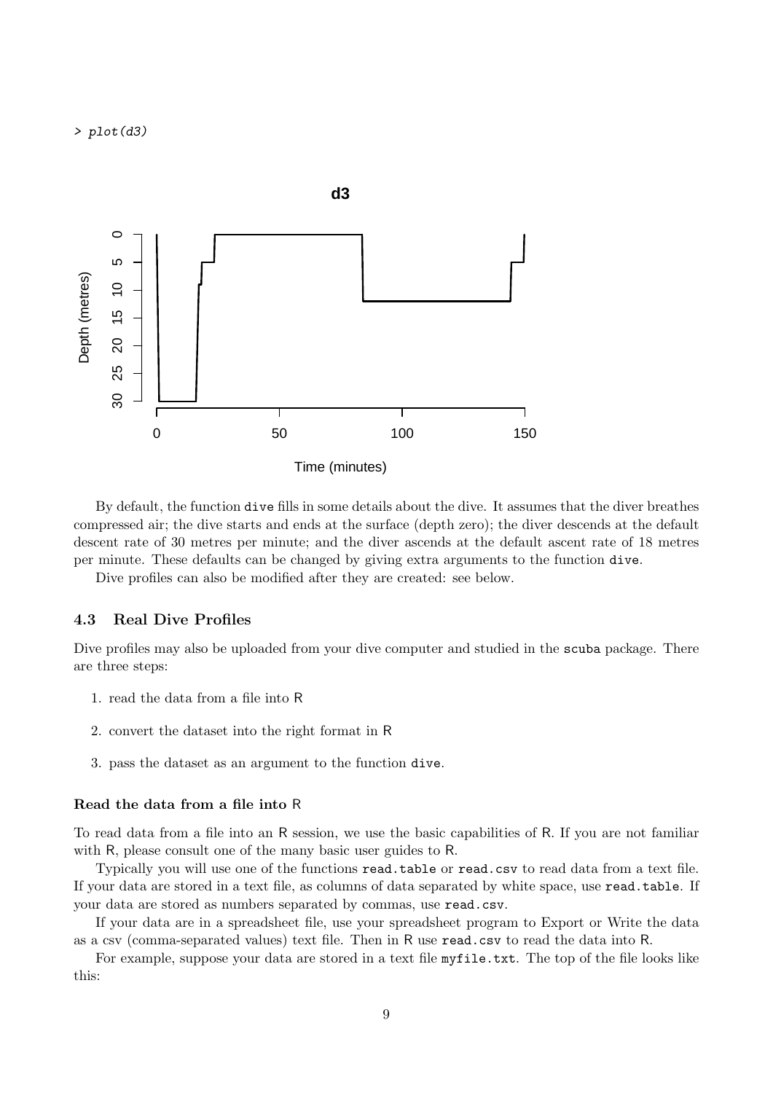> plot(d3)



By default, the function dive fills in some details about the dive. It assumes that the diver breathes compressed air; the dive starts and ends at the surface (depth zero); the diver descends at the default descent rate of 30 metres per minute; and the diver ascends at the default ascent rate of 18 metres per minute. These defaults can be changed by giving extra arguments to the function dive.

Dive profiles can also be modified after they are created: see below.

### 4.3 Real Dive Profiles

Dive profiles may also be uploaded from your dive computer and studied in the scuba package. There are three steps:

- 1. read the data from a file into R
- 2. convert the dataset into the right format in R
- 3. pass the dataset as an argument to the function dive.

#### Read the data from a file into R

To read data from a file into an R session, we use the basic capabilities of R. If you are not familiar with R, please consult one of the many basic user guides to R.

Typically you will use one of the functions read.table or read.csv to read data from a text file. If your data are stored in a text file, as columns of data separated by white space, use read.table. If your data are stored as numbers separated by commas, use read.csv.

If your data are in a spreadsheet file, use your spreadsheet program to Export or Write the data as a csv (comma-separated values) text file. Then in R use read.csv to read the data into R.

For example, suppose your data are stored in a text file myfile.txt. The top of the file looks like this: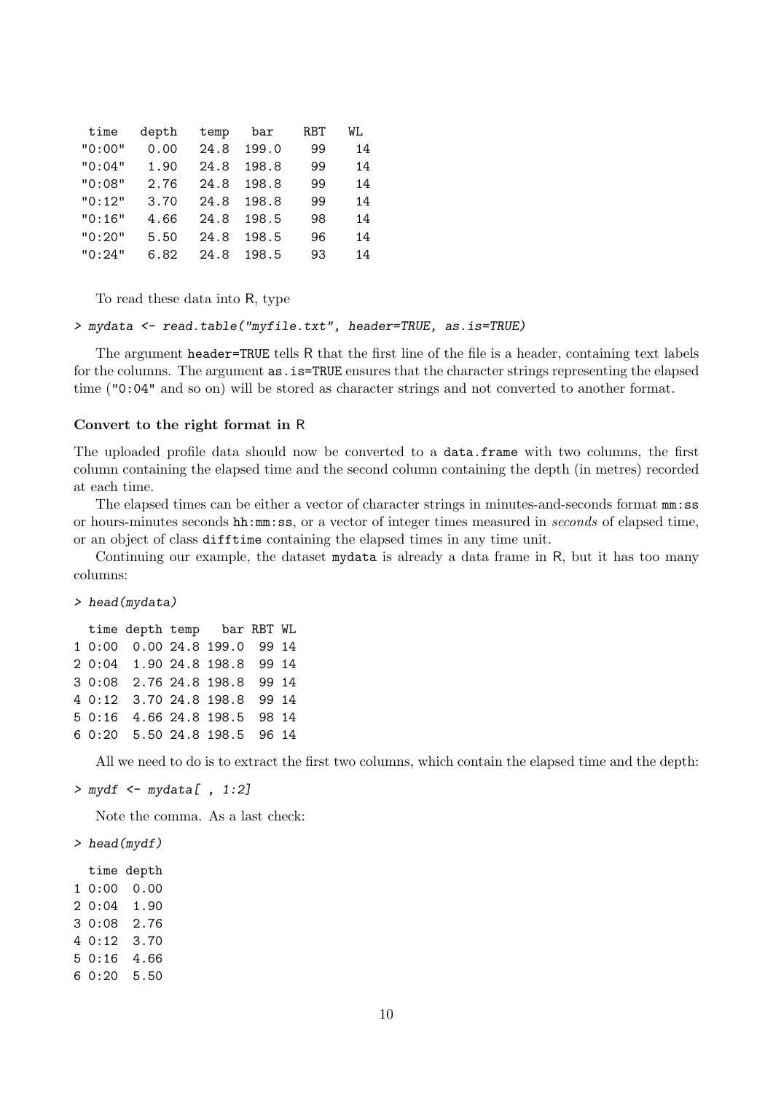| time   | depth | temp | bar   | RBT | WL |
|--------|-------|------|-------|-----|----|
| "0:00" | 0.00  | 24.8 | 199.0 | 99  | 14 |
| "0:04" | 1.90  | 24.8 | 198.8 | 99  | 14 |
| "0:08" | 2.76  | 24.8 | 198.8 | 99  | 14 |
| "0:12" | 3.70  | 24.8 | 198.8 | 99  | 14 |
| "0:16" | 4.66  | 24.8 | 198.5 | 98  | 14 |
| "0:20" | 5.50  | 24.8 | 198.5 | 96  | 14 |
| "0:24" | 6.82  | 24.8 | 198.5 | 93  | 14 |

To read these data into R, type

```
> mydata <- read.table("myfile.txt", header=TRUE, as.is=TRUE)
```
The argument header=TRUE tells R that the first line of the file is a header, containing text labels for the columns. The argument  $as.is=TRUE$  ensures that the character strings representing the elapsed time ("0:04" and so on) will be stored as character strings and not converted to another format.

### Convert to the right format in R

The uploaded profile data should now be converted to a data.frame with two columns, the first column containing the elapsed time and the second column containing the depth (in metres) recorded at each time.

The elapsed times can be either a vector of character strings in minutes-and-seconds format mm:ss or hours-minutes seconds hh:mm:ss, or a vector of integer times measured in seconds of elapsed time, or an object of class difftime containing the elapsed times in any time unit.

Continuing our example, the dataset mydata is already a data frame in R, but it has too many columns:

### > head(mydata)

|  | time depth temp bar RBT WL   |  |  |  |
|--|------------------------------|--|--|--|
|  | 1 0:00 0.00 24.8 199.0 99 14 |  |  |  |
|  | 2 0:04 1.90 24.8 198.8 99 14 |  |  |  |
|  | 3 0:08 2.76 24.8 198.8 99 14 |  |  |  |
|  | 4 0:12 3.70 24.8 198.8 99 14 |  |  |  |
|  | 5 0:16 4.66 24.8 198.5 98 14 |  |  |  |
|  | 6 0:20 5.50 24.8 198.5 96 14 |  |  |  |

All we need to do is to extract the first two columns, which contain the elapsed time and the depth:

```
> mydf <- mydata[, 1:2]
```
Note the comma. As a last check:

- > head(mydf)
- time depth 1 0:00 0.00 2 0:04 1.90 3 0:08 2.76 4 0:12 3.70 5 0:16 4.66 6 0:20 5.50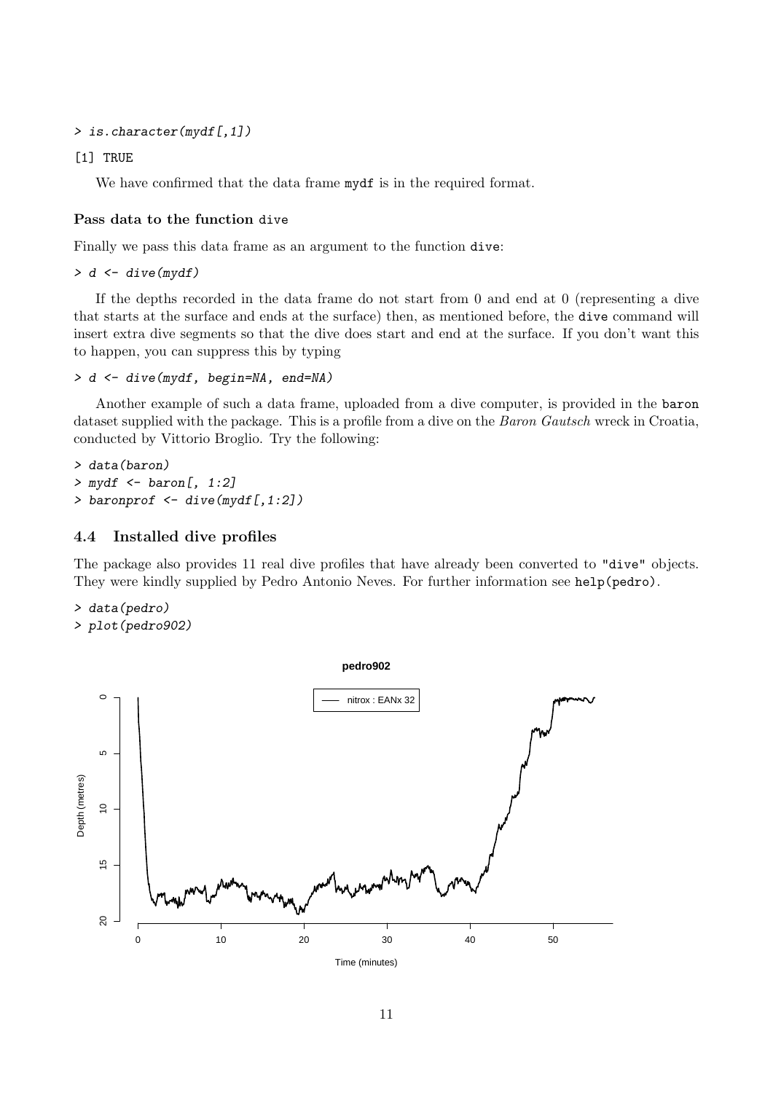```
> is.character(mydf[,1])
```

```
[1] TRUE
```
We have confirmed that the data frame mydf is in the required format.

### Pass data to the function dive

Finally we pass this data frame as an argument to the function dive:

> d <- dive(mydf)

If the depths recorded in the data frame do not start from 0 and end at 0 (representing a dive that starts at the surface and ends at the surface) then, as mentioned before, the dive command will insert extra dive segments so that the dive does start and end at the surface. If you don't want this to happen, you can suppress this by typing

```
> d <- dive(mydf, begin=NA, end=NA)
```
Another example of such a data frame, uploaded from a dive computer, is provided in the baron dataset supplied with the package. This is a profile from a dive on the *Baron Gautsch* wreck in Croatia, conducted by Vittorio Broglio. Try the following:

> data(baron)  $>$  mydf  $\le$  baron[, 1:2] > baronprof <- dive(mydf[,1:2])

### 4.4 Installed dive profiles

The package also provides 11 real dive profiles that have already been converted to "dive" objects. They were kindly supplied by Pedro Antonio Neves. For further information see help(pedro).

> data(pedro)

```
> plot(pedro902)
```
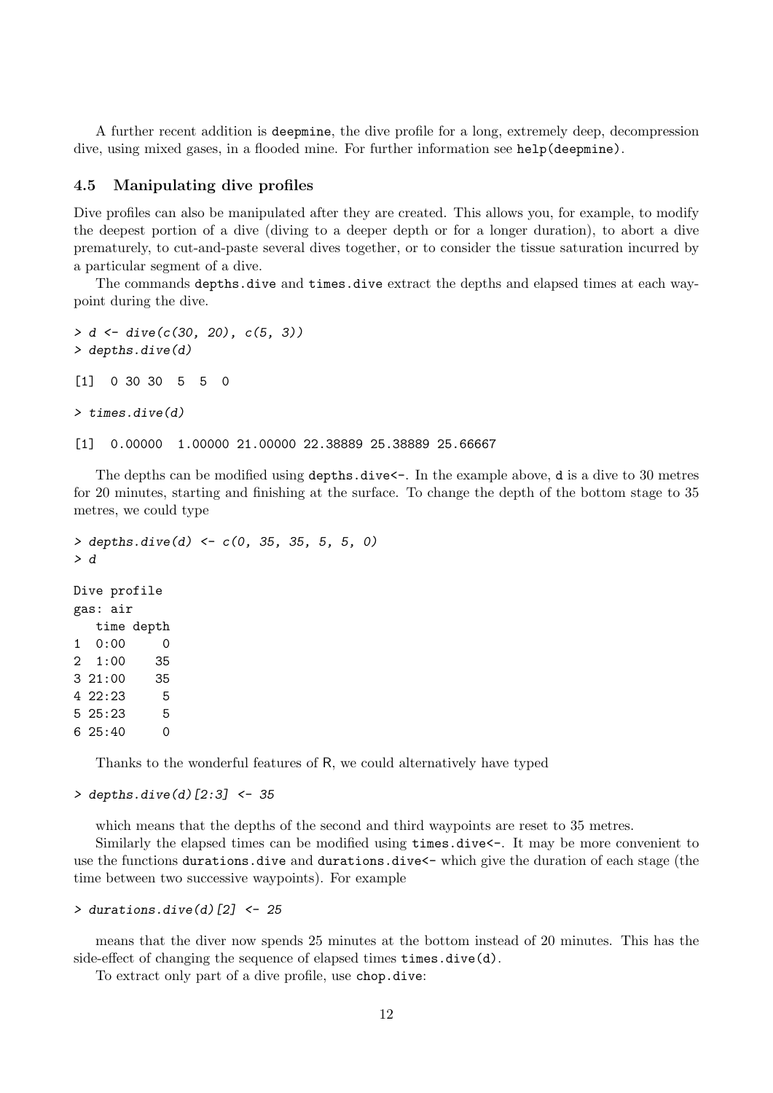A further recent addition is deepmine, the dive profile for a long, extremely deep, decompression dive, using mixed gases, in a flooded mine. For further information see help(deepmine).

#### 4.5 Manipulating dive profiles

Dive profiles can also be manipulated after they are created. This allows you, for example, to modify the deepest portion of a dive (diving to a deeper depth or for a longer duration), to abort a dive prematurely, to cut-and-paste several dives together, or to consider the tissue saturation incurred by a particular segment of a dive.

The commands depths.dive and times.dive extract the depths and elapsed times at each waypoint during the dive.

```
> d <- dive(c(30, 20), c(5, 3))
> depths.dive(d)
[1] 0 30 30 5 5 0
> times.dive(d)
[1] 0.00000 1.00000 21.00000 22.38889 25.38889 25.66667
```
The depths can be modified using depths.dive  $\leftarrow$ . In the example above, d is a dive to 30 metres for 20 minutes, starting and finishing at the surface. To change the depth of the bottom stage to 35 metres, we could type

```
> depths.dive(d) <- c(0, 35, 35, 5, 5, 0)> d
Dive profile
gas: air
  time depth
1 0:00 0
2 1:00 35
3 21:00 35
4 22:23 5
5 25:23 5
6 25:40 0
```
Thanks to the wonderful features of R, we could alternatively have typed

```
> depths.dive(d)[2:3] <- 35
```
which means that the depths of the second and third waypoints are reset to 35 metres.

Similarly the elapsed times can be modified using times.dive $\leq$ . It may be more convenient to use the functions durations.dive and durations.dive<- which give the duration of each stage (the time between two successive waypoints). For example

```
> durations.dive(d)[2] <- 25
```
means that the diver now spends 25 minutes at the bottom instead of 20 minutes. This has the side-effect of changing the sequence of elapsed times times.dive(d).

To extract only part of a dive profile, use chop.dive: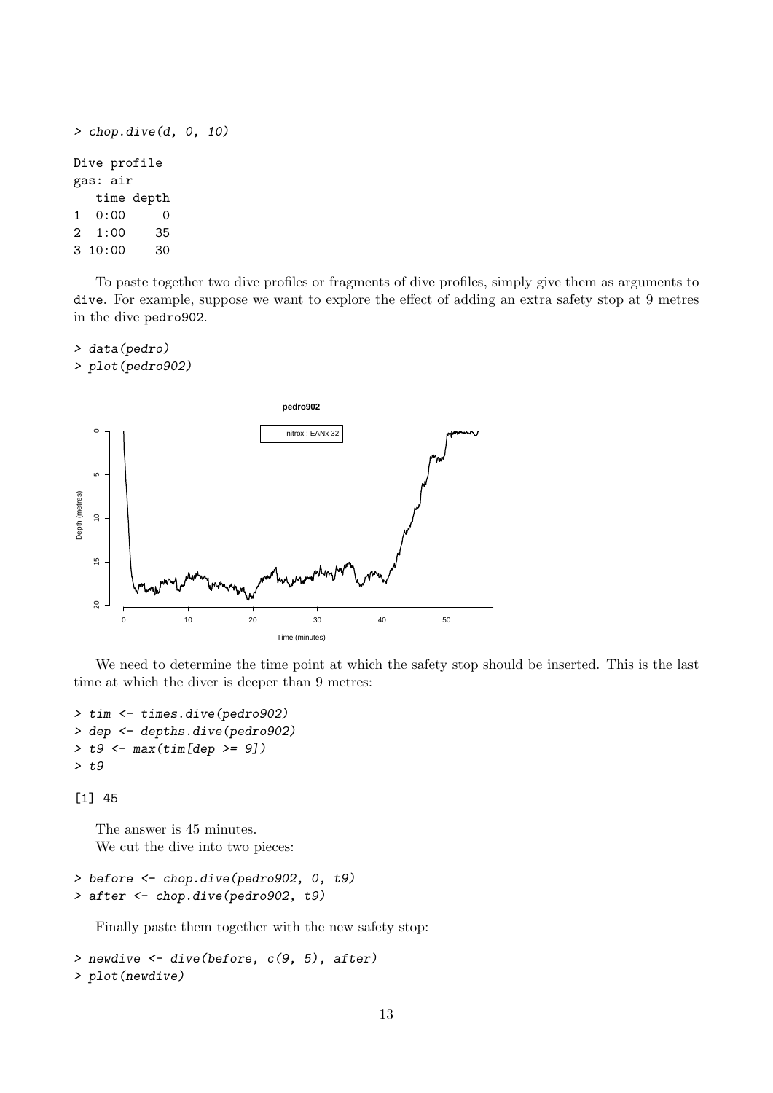```
> chop.dive(d, 0, 10)
Dive profile
gas: air
  time depth
1 0:00 0
2 1:00 35
3 10:00 30
```
To paste together two dive profiles or fragments of dive profiles, simply give them as arguments to dive. For example, suppose we want to explore the effect of adding an extra safety stop at 9 metres in the dive pedro902.

> data(pedro) > plot(pedro902)



We need to determine the time point at which the safety stop should be inserted. This is the last time at which the diver is deeper than 9 metres:

```
> tim <- times.dive(pedro902)
> dep <- depths.dive(pedro902)
> t9 < - \max(tim[dep > = 9])> t9
```
[1] 45

The answer is 45 minutes. We cut the dive into two pieces:

```
> before <- chop.dive(pedro902, 0, t9)
> after <- chop.dive(pedro902, t9)
```
Finally paste them together with the new safety stop:

```
> newdive \leq dive(before, c(9, 5), after)
> plot(newdive)
```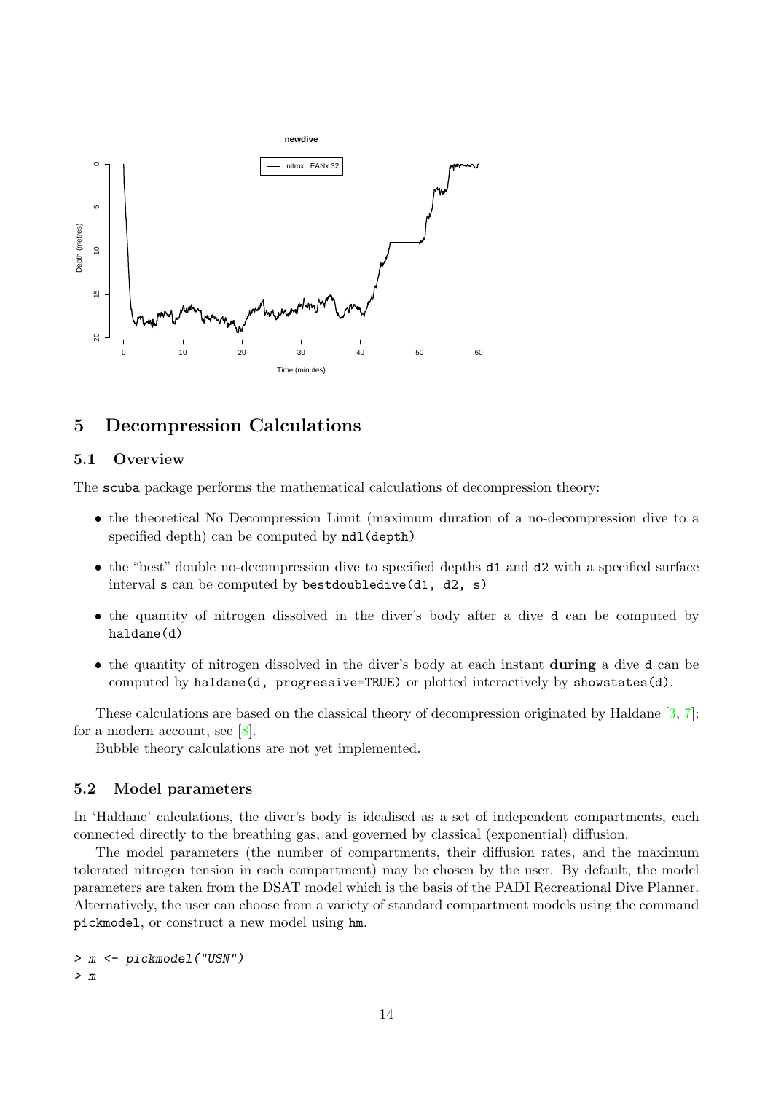

## 5 Decompression Calculations

### 5.1 Overview

The scuba package performs the mathematical calculations of decompression theory:

- the theoretical No Decompression Limit (maximum duration of a no-decompression dive to a specified depth) can be computed by ndl(depth)
- the "best" double no-decompression dive to specified depths d1 and d2 with a specified surface interval s can be computed by bestdoubledive(d1, d2, s)
- the quantity of nitrogen dissolved in the diver's body after a dive d can be computed by haldane(d)
- the quantity of nitrogen dissolved in the diver's body at each instant during a dive d can be computed by haldane(d, progressive=TRUE) or plotted interactively by showstates(d).

These calculations are based on the classical theory of decompression originated by Haldane [\[3,](#page-23-0) [7\]](#page-23-1); for a modern account, see [\[8\]](#page-23-2).

Bubble theory calculations are not yet implemented.

### 5.2 Model parameters

In 'Haldane' calculations, the diver's body is idealised as a set of independent compartments, each connected directly to the breathing gas, and governed by classical (exponential) diffusion.

The model parameters (the number of compartments, their diffusion rates, and the maximum tolerated nitrogen tension in each compartment) may be chosen by the user. By default, the model parameters are taken from the DSAT model which is the basis of the PADI Recreational Dive Planner. Alternatively, the user can choose from a variety of standard compartment models using the command pickmodel, or construct a new model using hm.

> m <- pickmodel("USN") > m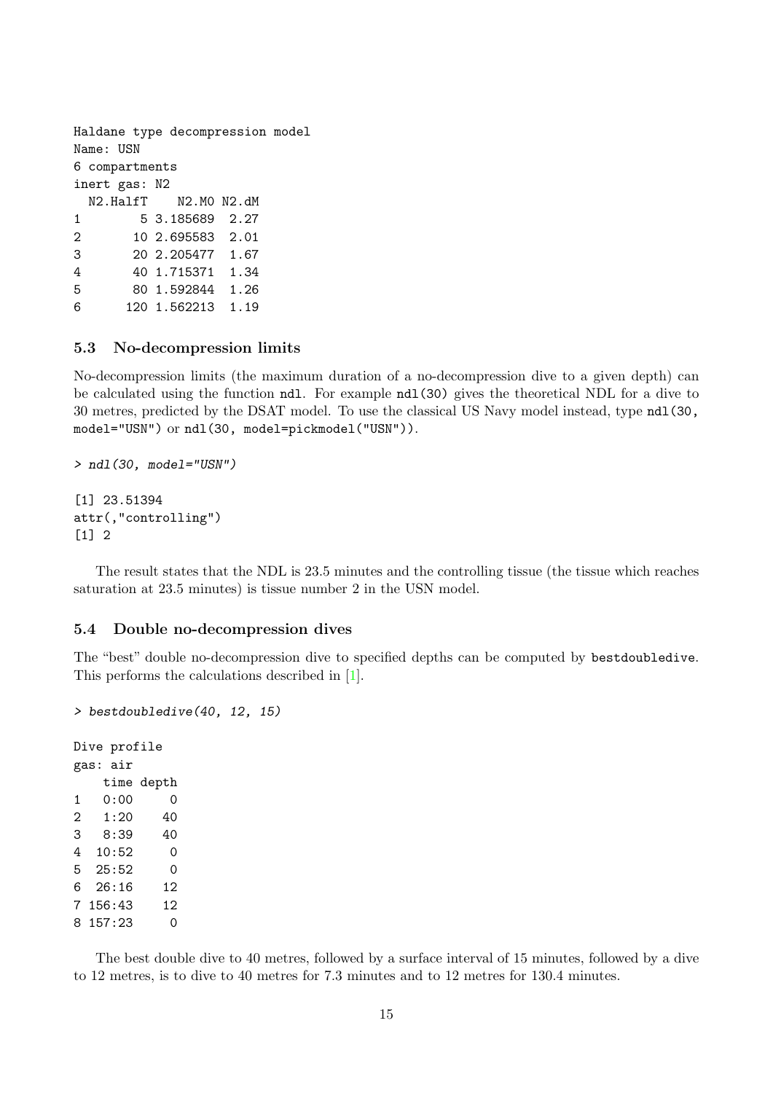Haldane type decompression model Name: USN 6 compartments inert gas: N2 N2.HalfT N2.M0 N2.dM 1 5 3.185689 2.27 2 10 2.695583 2.01 3 20 2.205477 1.67 4 40 1.715371 1.34 5 80 1.592844 1.26 6 120 1.562213 1.19

### 5.3 No-decompression limits

No-decompression limits (the maximum duration of a no-decompression dive to a given depth) can be calculated using the function ndl. For example ndl(30) gives the theoretical NDL for a dive to 30 metres, predicted by the DSAT model. To use the classical US Navy model instead, type ndl(30, model="USN") or ndl(30, model=pickmodel("USN")).

```
> ndl(30, model="USN")
[1] 23.51394
attr(,"controlling")
[1] 2
```
The result states that the NDL is 23.5 minutes and the controlling tissue (the tissue which reaches saturation at 23.5 minutes) is tissue number 2 in the USN model.

#### 5.4 Double no-decompression dives

The "best" double no-decompression dive to specified depths can be computed by bestdoubledive. This performs the calculations described in [\[1\]](#page-23-3).

> bestdoubledive(40, 12, 15)

```
Dive profile
gas: air
   time depth
1 0:00 0
2 1:20 40
3 8:39 40
4 10:52 0
5 25:52 0
6 26:16 12
7 156:43 12
8 157:23 0
```
The best double dive to 40 metres, followed by a surface interval of 15 minutes, followed by a dive to 12 metres, is to dive to 40 metres for 7.3 minutes and to 12 metres for 130.4 minutes.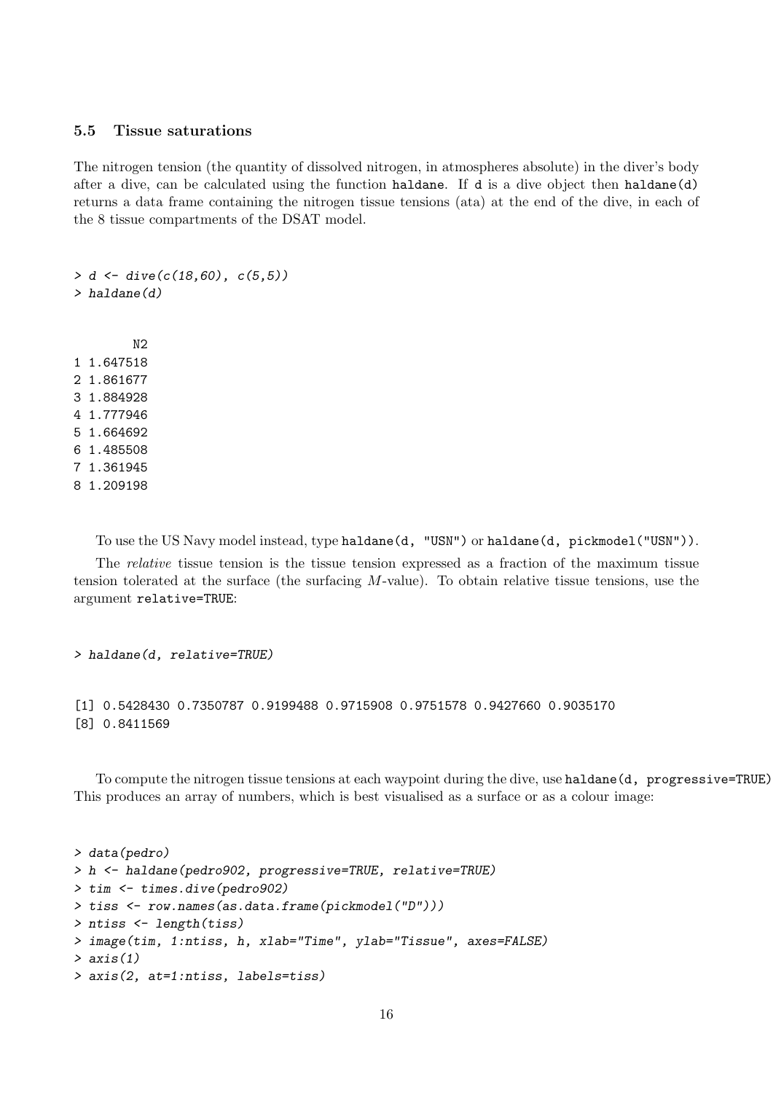#### 5.5 Tissue saturations

The nitrogen tension (the quantity of dissolved nitrogen, in atmospheres absolute) in the diver's body after a dive, can be calculated using the function haldane. If d is a dive object then haldane(d) returns a data frame containing the nitrogen tissue tensions (ata) at the end of the dive, in each of the 8 tissue compartments of the DSAT model.

> d <- dive(c(18,60), c(5,5)) > haldane(d) N2 1 1.647518 2 1.861677 3 1.884928 4 1.777946 5 1.664692 6 1.485508

- 7 1.361945
- 8 1.209198

To use the US Navy model instead, type haldane(d, "USN") or haldane(d, pickmodel("USN")).

The *relative* tissue tension is the tissue tension expressed as a fraction of the maximum tissue tension tolerated at the surface (the surfacing  $M$ -value). To obtain relative tissue tensions, use the argument relative=TRUE:

```
> haldane(d, relative=TRUE)
[1] 0.5428430 0.7350787 0.9199488 0.9715908 0.9751578 0.9427660 0.9035170
[8] 0.8411569
```
To compute the nitrogen tissue tensions at each waypoint during the dive, use haldane(d, progressive=TRUE). This produces an array of numbers, which is best visualised as a surface or as a colour image:

```
> data(pedro)
> h <- haldane(pedro902, progressive=TRUE, relative=TRUE)
> tim <- times.dive(pedro902)
> tiss <- row.names(as.data.frame(pickmodel("D")))
> ntiss <- length(tiss)
> image(tim, 1:ntiss, h, xlab="Time", ylab="Tissue", axes=FALSE)
> axis(1)
> axis(2, at=1:ntiss, labels=tiss)
```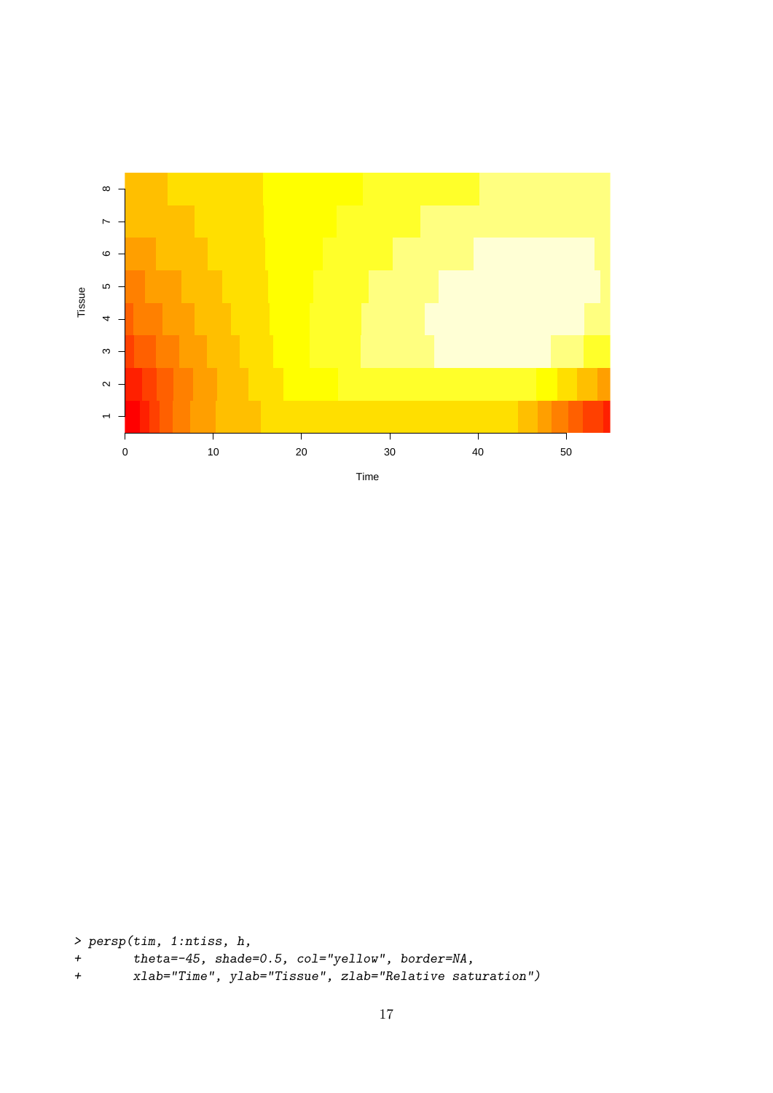

> persp(tim, 1:ntiss, h,

- + theta=-45, shade=0.5, col="yellow", border=NA,
- + xlab="Time", ylab="Tissue", zlab="Relative saturation")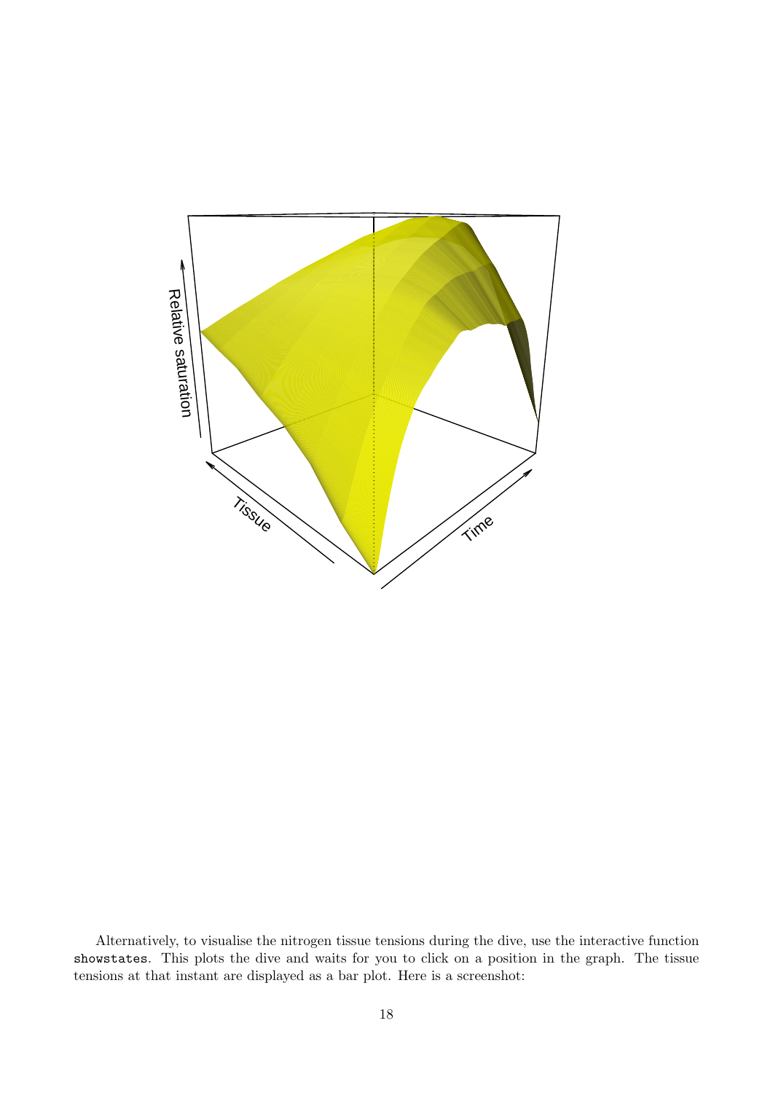

Alternatively, to visualise the nitrogen tissue tensions during the dive, use the interactive function showstates. This plots the dive and waits for you to click on a position in the graph. The tissue tensions at that instant are displayed as a bar plot. Here is a screenshot: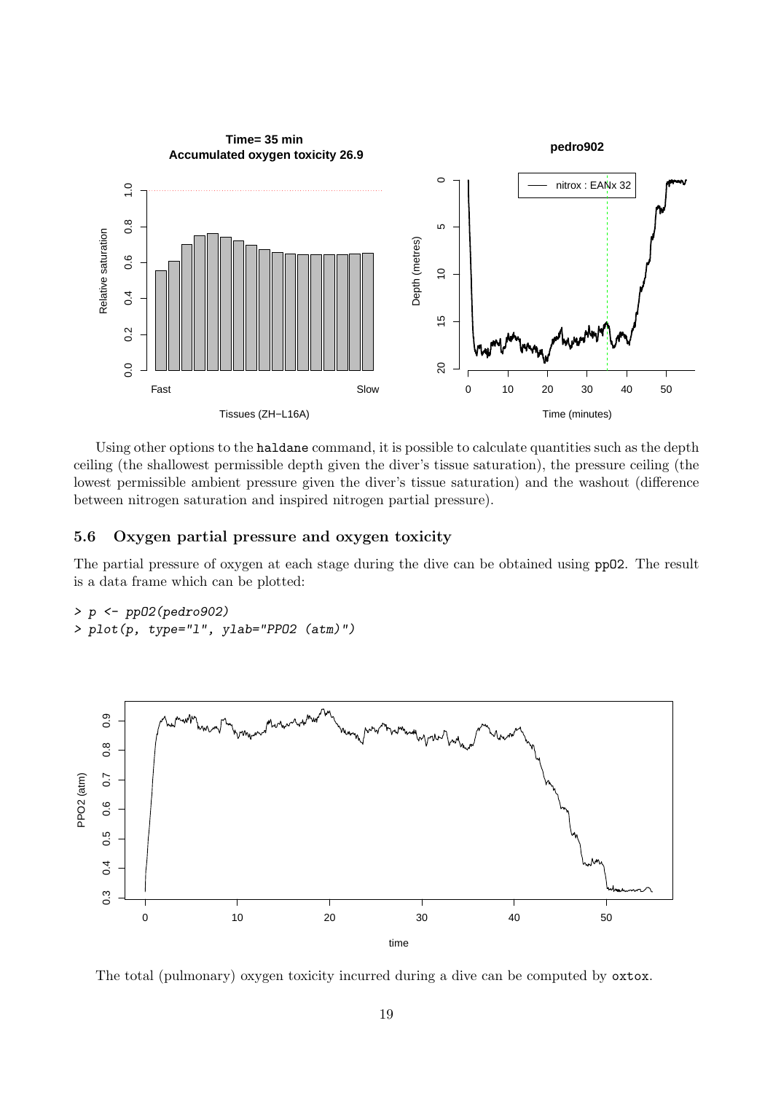

Using other options to the haldane command, it is possible to calculate quantities such as the depth ceiling (the shallowest permissible depth given the diver's tissue saturation), the pressure ceiling (the lowest permissible ambient pressure given the diver's tissue saturation) and the washout (difference between nitrogen saturation and inspired nitrogen partial pressure).

### 5.6 Oxygen partial pressure and oxygen toxicity

The partial pressure of oxygen at each stage during the dive can be obtained using ppO2. The result is a data frame which can be plotted:

```
> p \leftarrow pp02(pedro902)> plot(p, type="l", ylab="PPO2 (atm)")
```


The total (pulmonary) oxygen toxicity incurred during a dive can be computed by oxtox.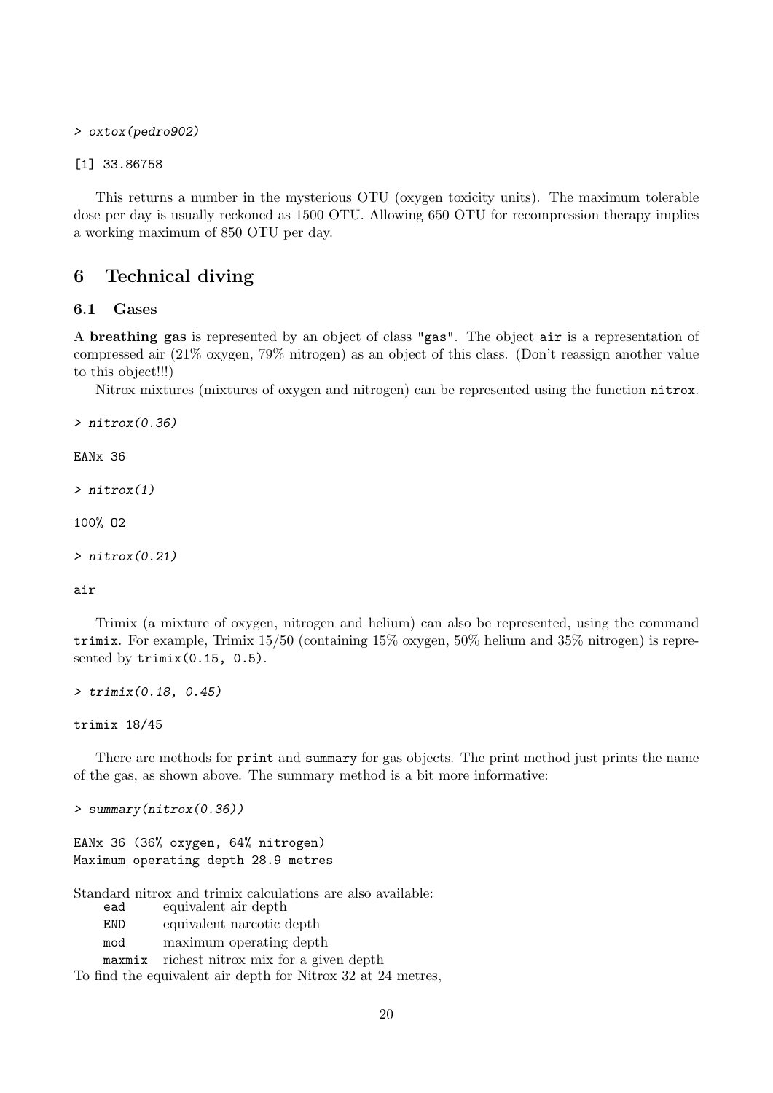> oxtox(pedro902)

[1] 33.86758

This returns a number in the mysterious OTU (oxygen toxicity units). The maximum tolerable dose per day is usually reckoned as 1500 OTU. Allowing 650 OTU for recompression therapy implies a working maximum of 850 OTU per day.

### <span id="page-19-0"></span>6 Technical diving

#### 6.1 Gases

A breathing gas is represented by an object of class "gas". The object air is a representation of compressed air (21% oxygen, 79% nitrogen) as an object of this class. (Don't reassign another value to this object!!!)

Nitrox mixtures (mixtures of oxygen and nitrogen) can be represented using the function nitrox.

 $\geq$  nitrox $(0.36)$ 

EANx 36

> nitrox(1)

100% O2

> nitrox(0.21)

#### air

Trimix (a mixture of oxygen, nitrogen and helium) can also be represented, using the command trimix. For example, Trimix 15/50 (containing 15% oxygen, 50% helium and 35% nitrogen) is represented by trimix(0.15, 0.5).

> trimix(0.18, 0.45)

#### trimix 18/45

There are methods for print and summary for gas objects. The print method just prints the name of the gas, as shown above. The summary method is a bit more informative:

> summary(nitrox(0.36))

EANx 36 (36% oxygen, 64% nitrogen) Maximum operating depth 28.9 metres

Standard nitrox and trimix calculations are also available:

equivalent air depth

END equivalent narcotic depth

mod maximum operating depth maxmix richest nitrox mix for a given depth

To find the equivalent air depth for Nitrox 32 at 24 metres,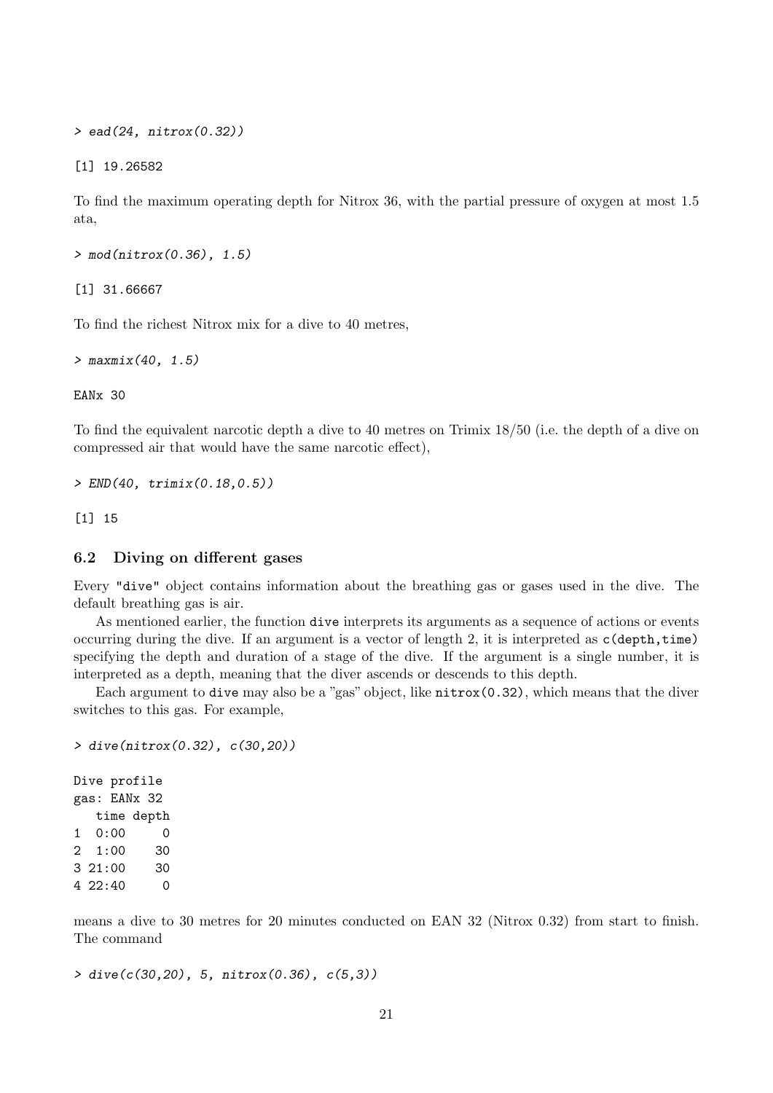> ead(24, nitrox(0.32))

[1] 19.26582

To find the maximum operating depth for Nitrox 36, with the partial pressure of oxygen at most 1.5 ata,

> mod(nitrox(0.36), 1.5)

[1] 31.66667

To find the richest Nitrox mix for a dive to 40 metres,

> maxmix(40, 1.5)

EANx 30

To find the equivalent narcotic depth a dive to 40 metres on Trimix 18/50 (i.e. the depth of a dive on compressed air that would have the same narcotic effect),

> END(40, trimix(0.18,0.5))

[1] 15

#### 6.2 Diving on different gases

Every "dive" object contains information about the breathing gas or gases used in the dive. The default breathing gas is air.

As mentioned earlier, the function dive interprets its arguments as a sequence of actions or events occurring during the dive. If an argument is a vector of length 2, it is interpreted as  $c$  (depth, time) specifying the depth and duration of a stage of the dive. If the argument is a single number, it is interpreted as a depth, meaning that the diver ascends or descends to this depth.

Each argument to dive may also be a "gas" object, like nitrox(0.32), which means that the diver switches to this gas. For example,

```
> dive(nitrox(0.32), c(30,20))
Dive profile
gas: EANx 32
  time depth
1 0:00 0
2 1:00 30
3 21:00 30
4 22:40 0
```
means a dive to 30 metres for 20 minutes conducted on EAN 32 (Nitrox 0.32) from start to finish. The command

```
> dive(c(30,20), 5, nitrox(0.36), c(5,3))
```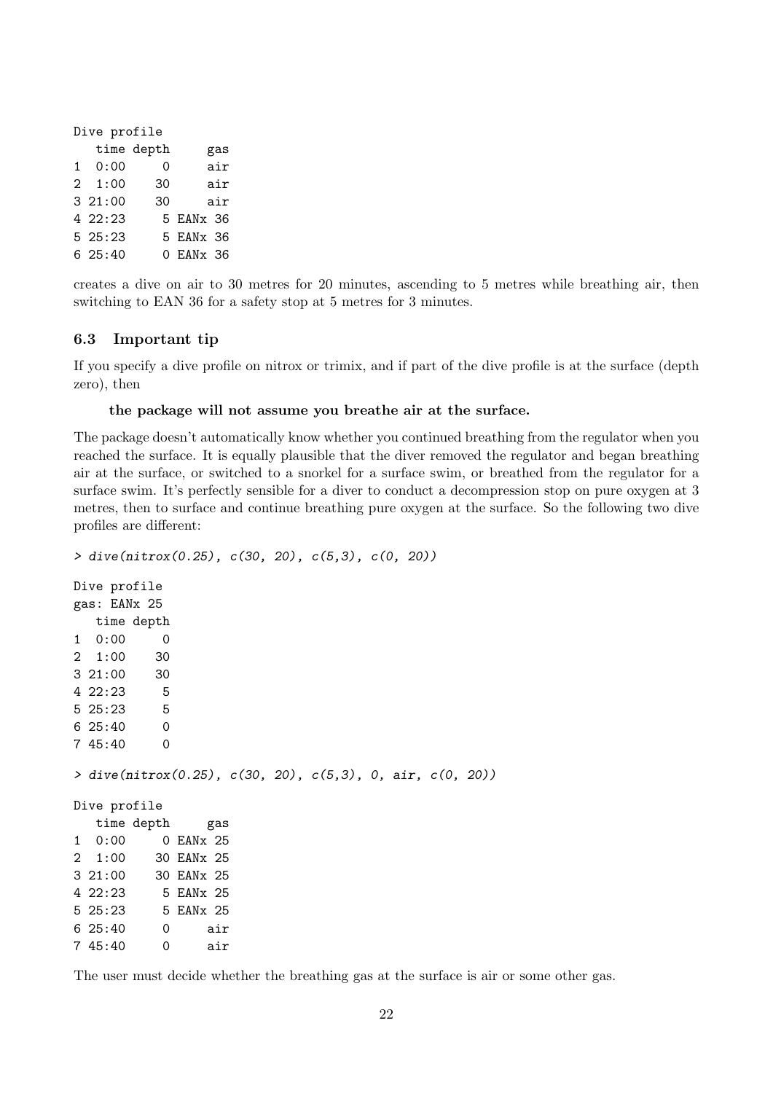| Dive profile |                |            |           |     |  |  |
|--------------|----------------|------------|-----------|-----|--|--|
|              |                | time depth |           | gas |  |  |
|              | $1 \quad 0:00$ | 0          |           | air |  |  |
|              | $2 \quad 1:00$ | 30         |           | air |  |  |
|              | 321:00         | 30         |           | air |  |  |
|              | 422:23         |            | 5 EANx 36 |     |  |  |
|              | 525:23         |            | 5 EANx 36 |     |  |  |
|              | 625:40         |            | 0 EANx 36 |     |  |  |

creates a dive on air to 30 metres for 20 minutes, ascending to 5 metres while breathing air, then switching to EAN 36 for a safety stop at 5 metres for 3 minutes.

### 6.3 Important tip

If you specify a dive profile on nitrox or trimix, and if part of the dive profile is at the surface (depth zero), then

#### the package will not assume you breathe air at the surface.

The package doesn't automatically know whether you continued breathing from the regulator when you reached the surface. It is equally plausible that the diver removed the regulator and began breathing air at the surface, or switched to a snorkel for a surface swim, or breathed from the regulator for a surface swim. It's perfectly sensible for a diver to conduct a decompression stop on pure oxygen at 3 metres, then to surface and continue breathing pure oxygen at the surface. So the following two dive profiles are different:

```
> dive(nitrox(0.25), c(30, 20), c(5,3), c(0, 20))
Dive profile
gas: EANx 25
  time depth
1 0:00 0
2 1:00 30
3 21:00 30
4 \t22:23 \t55 25:23 5
6 25:40 0
7 45:40 0
> dive(nitrox(0.25), c(30, 20), c(5,3), 0, air, c(0, 20))
Dive profile
  time depth gas
1 0:00 0 EANx 25
2 1:00 30 EANx 25
3 21:00 30 EANx 25
4 22:23 5 EANx 25
5 25:23 5 EANx 25
6 25:40 0 air
7 45:40 0 air
```
The user must decide whether the breathing gas at the surface is air or some other gas.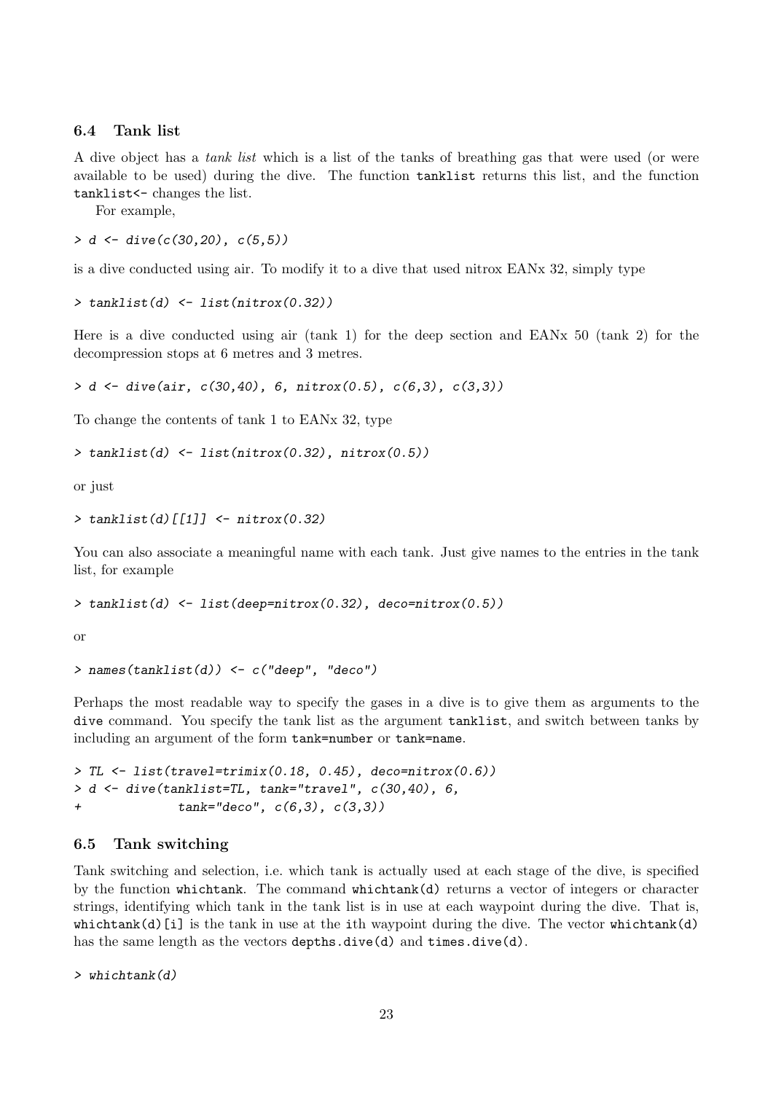### 6.4 Tank list

A dive object has a tank list which is a list of the tanks of breathing gas that were used (or were available to be used) during the dive. The function tanklist returns this list, and the function tanklist<- changes the list.

For example,

 $> d \leq$  dive(c(30.20), c(5.5))

is a dive conducted using air. To modify it to a dive that used nitrox EANx 32, simply type

```
> tanklist(d) <- list(nitrox(0.32))
```
Here is a dive conducted using air (tank 1) for the deep section and EANx 50 (tank 2) for the decompression stops at 6 metres and 3 metres.

```
> d \le dive(air, c(30, 40), 6, nitrox(0.5), c(6, 3), c(3, 3))
```
To change the contents of tank 1 to EANx 32, type

```
> tanklist(d) <- list(nitrox(0.32), nitrox(0.5))
```
or just

```
> tanklist(d)[[1]] \leq- nitrox(0.32)
```
You can also associate a meaningful name with each tank. Just give names to the entries in the tank list, for example

```
> tanklist(d) <- list(deep=nitrox(0.32), deco=nitrox(0.5))
```
or

```
> names(tanklist(d)) <- c("deep", "deco")
```
Perhaps the most readable way to specify the gases in a dive is to give them as arguments to the dive command. You specify the tank list as the argument tanklist, and switch between tanks by including an argument of the form tank=number or tank=name.

```
> TL <- list(travel=trimix(0.18, 0.45), deco=nitrox(0.6))
> d <- dive(tanklist=TL, tank="travel", c(30,40), 6,
+ tank="deco", c(6,3), c(3,3))
```
### 6.5 Tank switching

Tank switching and selection, i.e. which tank is actually used at each stage of the dive, is specified by the function whichtank. The command whichtank(d) returns a vector of integers or character strings, identifying which tank in the tank list is in use at each waypoint during the dive. That is,  $which$  whichtank(d)[i] is the tank in use at the ith waypoint during the dive. The vector whichtank(d) has the same length as the vectors depths.dive(d) and times.dive(d).

 $> which tank(d)$